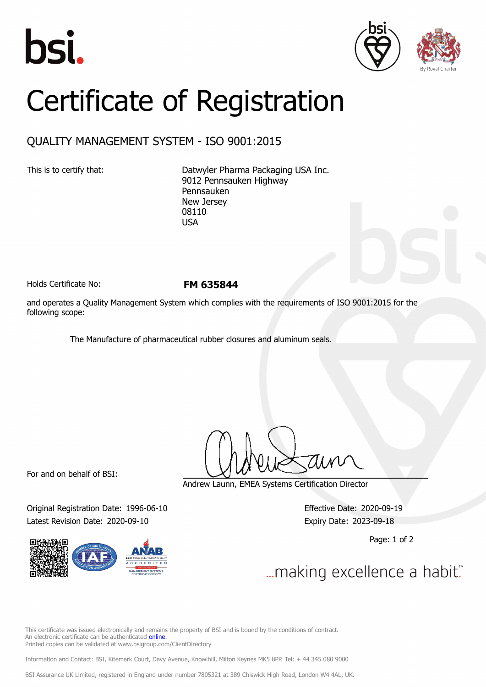





## Certificate of Registration

## QUALITY MANAGEMENT SYSTEM - ISO 9001:2015

This is to certify that: Datwyler Pharma Packaging USA Inc. 9012 Pennsauken Highway Pennsauken New Jersey 08110 USA

Holds Certificate No: **FM 635844**

and operates a Quality Management System which complies with the requirements of ISO 9001:2015 for the following scope:

The Manufacture of pharmaceutical rubber closures and aluminum seals.

For and on behalf of BSI:

Original Registration Date: 1996-06-10 Effective Date: 2020-09-19 Latest Revision Date: 2020-09-10 Expiry Date: 2023-09-18

Andrew Launn, EMEA Systems Certification Director

Page: 1 of 2

... making excellence a habit."

This certificate was issued electronically and remains the property of BSI and is bound by the conditions of contract. An electronic certificate can be authenticated [online](https://pgplus.bsigroup.com/CertificateValidation/CertificateValidator.aspx?CertificateNumber=FM+635844&ReIssueDate=10%2f09%2f2020&Template=cemea_en) Printed copies can be validated at www.bsigroup.com/ClientDirectory

Information and Contact: BSI, Kitemark Court, Davy Avenue, Knowlhill, Milton Keynes MK5 8PP. Tel: + 44 345 080 9000

BSI Assurance UK Limited, registered in England under number 7805321 at 389 Chiswick High Road, London W4 4AL, UK.